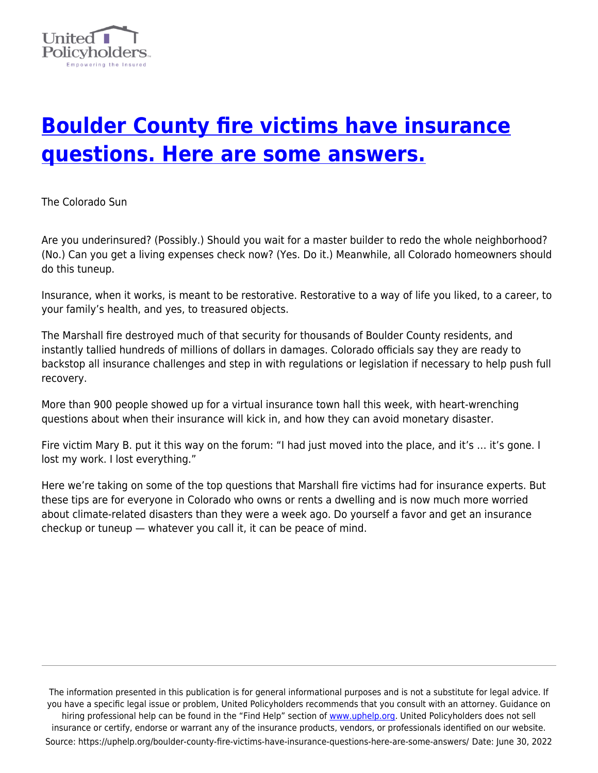

# **[Boulder County fire victims have insurance](https://uphelp.org/boulder-county-fire-victims-have-insurance-questions-here-are-some-answers/) [questions. Here are some answers.](https://uphelp.org/boulder-county-fire-victims-have-insurance-questions-here-are-some-answers/)**

The Colorado Sun

Are you underinsured? (Possibly.) Should you wait for a master builder to redo the whole neighborhood? (No.) Can you get a living expenses check now? (Yes. Do it.) Meanwhile, all Colorado homeowners should do this tuneup.

Insurance, when it works, is meant to be restorative. Restorative to a way of life you liked, to a career, to your family's health, and yes, to treasured objects.

The Marshall fire destroyed much of that security for thousands of Boulder County residents, and instantly tallied hundreds of millions of dollars in damages. Colorado officials say they are ready to backstop all insurance challenges and step in with regulations or legislation if necessary to help push full recovery.

More than 900 people showed up for a virtual insurance town hall this week, with heart-wrenching questions about when their insurance will kick in, and how they can avoid monetary disaster.

Fire victim Mary B. put it this way on the forum: "I had just moved into the place, and it's … it's gone. I lost my work. I lost everything."

Here we're taking on some of the top questions that Marshall fire victims had for insurance experts. But these tips are for everyone in Colorado who owns or rents a dwelling and is now much more worried about climate-related disasters than they were a week ago. Do yourself a favor and get an insurance checkup or tuneup — whatever you call it, it can be peace of mind.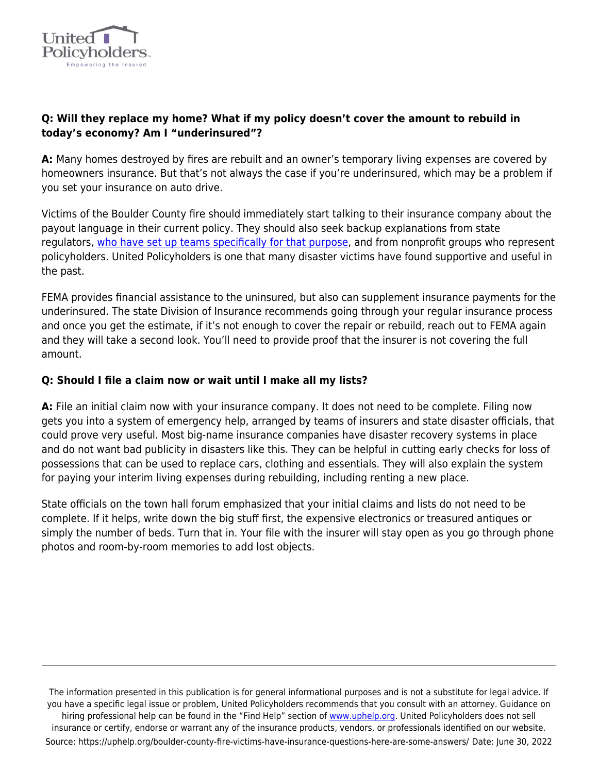

## **Q: Will they replace my home? What if my policy doesn't cover the amount to rebuild in today's economy? Am I "underinsured"?**

**A:** Many homes destroyed by fires are rebuilt and an owner's temporary living expenses are covered by homeowners insurance. But that's not always the case if you're underinsured, which may be a problem if you set your insurance on auto drive.

Victims of the Boulder County fire should immediately start talking to their insurance company about the payout language in their current policy. They should also seek backup explanations from state regulators, [who have set up teams specifically for that purpose,](https://doi.colorado.gov/) and from nonprofit groups who represent policyholders. United Policyholders is one that many disaster victims have found supportive and useful in the past.

FEMA provides financial assistance to the uninsured, but also can supplement insurance payments for the underinsured. The state Division of Insurance recommends going through your regular insurance process and once you get the estimate, if it's not enough to cover the repair or rebuild, reach out to FEMA again and they will take a second look. You'll need to provide proof that the insurer is not covering the full amount.

## **Q: Should I file a claim now or wait until I make all my lists?**

**A:** File an initial claim now with your insurance company. It does not need to be complete. Filing now gets you into a system of emergency help, arranged by teams of insurers and state disaster officials, that could prove very useful. Most big-name insurance companies have disaster recovery systems in place and do not want bad publicity in disasters like this. They can be helpful in cutting early checks for loss of possessions that can be used to replace cars, clothing and essentials. They will also explain the system for paying your interim living expenses during rebuilding, including renting a new place.

State officials on the town hall forum emphasized that your initial claims and lists do not need to be complete. If it helps, write down the big stuff first, the expensive electronics or treasured antiques or simply the number of beds. Turn that in. Your file with the insurer will stay open as you go through phone photos and room-by-room memories to add lost objects.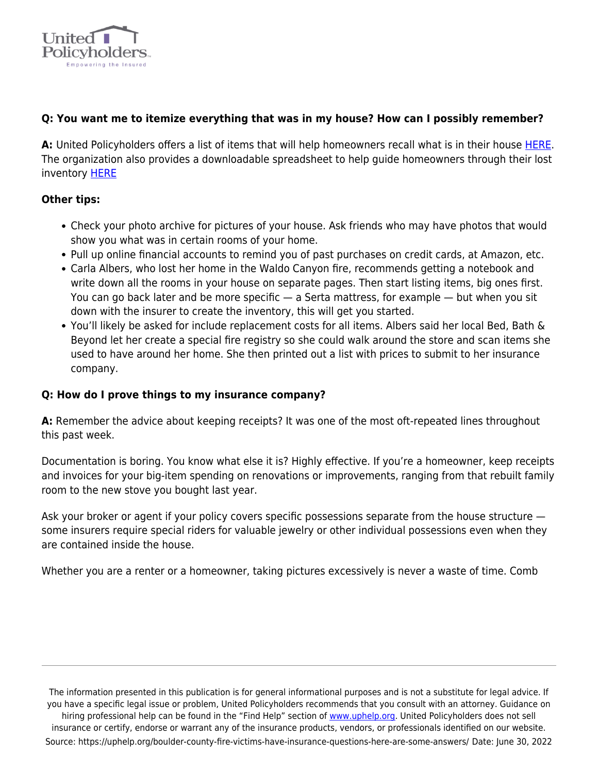

## **Q: You want me to itemize everything that was in my house? How can I possibly remember?**

**A:** United Policyholders offers a list of items that will help homeowners recall what is in their house [HERE.](https://uphelp.org/wp-content/uploads/2020/09/tradesummary.pdf) The organization also provides a downloadable spreadsheet to help guide homeowners through their lost inventory [HERE](https://uphelp.org/claim-guidance-publications/household-inventory-sample-spreadsheet/)

#### **Other tips:**

- Check your photo archive for pictures of your house. Ask friends who may have photos that would show you what was in certain rooms of your home.
- Pull up online financial accounts to remind you of past purchases on credit cards, at Amazon, etc.
- Carla Albers, who lost her home in the Waldo Canyon fire, recommends getting a notebook and write down all the rooms in your house on separate pages. Then start listing items, big ones first. You can go back later and be more specific — a Serta mattress, for example — but when you sit down with the insurer to create the inventory, this will get you started.
- You'll likely be asked for include replacement costs for all items. Albers said her local Bed, Bath & Beyond let her create a special fire registry so she could walk around the store and scan items she used to have around her home. She then printed out a list with prices to submit to her insurance company.

#### **Q: How do I prove things to my insurance company?**

**A:** Remember the advice about keeping receipts? It was one of the most oft-repeated lines throughout this past week.

Documentation is boring. You know what else it is? Highly effective. If you're a homeowner, keep receipts and invoices for your big-item spending on renovations or improvements, ranging from that rebuilt family room to the new stove you bought last year.

Ask your broker or agent if your policy covers specific possessions separate from the house structure some insurers require special riders for valuable jewelry or other individual possessions even when they are contained inside the house.

Whether you are a renter or a homeowner, taking pictures excessively is never a waste of time. Comb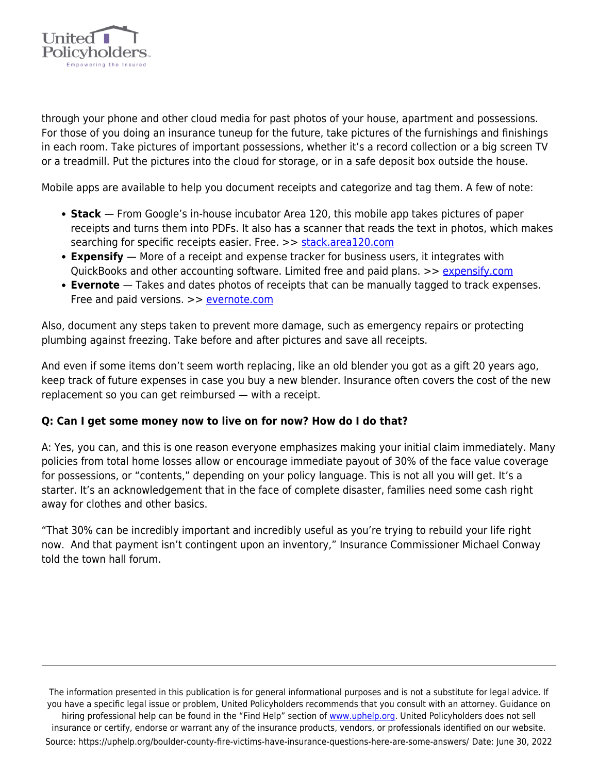

through your phone and other cloud media for past photos of your house, apartment and possessions. For those of you doing an insurance tuneup for the future, take pictures of the furnishings and finishings in each room. Take pictures of important possessions, whether it's a record collection or a big screen TV or a treadmill. Put the pictures into the cloud for storage, or in a safe deposit box outside the house.

Mobile apps are available to help you document receipts and categorize and tag them. A few of note:

- **Stack**  From Google's in-house incubator Area 120, this mobile app takes pictures of paper receipts and turns them into PDFs. It also has a scanner that reads the text in photos, which makes searching for specific receipts easier. Free. >> [stack.area120.com](https://stack.area120.com/)
- **Expensify**  More of a receipt and expense tracker for business users, it integrates with QuickBooks and other accounting software. Limited free and paid plans. >> [expensify.com](https://use.expensify.com/expense-management)
- **Evernote**  Takes and dates photos of receipts that can be manually tagged to track expenses. Free and paid versions. >> [evernote.com](https://evernote.com/)

Also, document any steps taken to prevent more damage, such as emergency repairs or protecting plumbing against freezing. Take before and after pictures and save all receipts.

And even if some items don't seem worth replacing, like an old blender you got as a gift 20 years ago, keep track of future expenses in case you buy a new blender. Insurance often covers the cost of the new replacement so you can get reimbursed — with a receipt.

## **Q: Can I get some money now to live on for now? How do I do that?**

A: Yes, you can, and this is one reason everyone emphasizes making your initial claim immediately. Many policies from total home losses allow or encourage immediate payout of 30% of the face value coverage for possessions, or "contents," depending on your policy language. This is not all you will get. It's a starter. It's an acknowledgement that in the face of complete disaster, families need some cash right away for clothes and other basics.

"That 30% can be incredibly important and incredibly useful as you're trying to rebuild your life right now. And that payment isn't contingent upon an inventory," Insurance Commissioner Michael Conway told the town hall forum.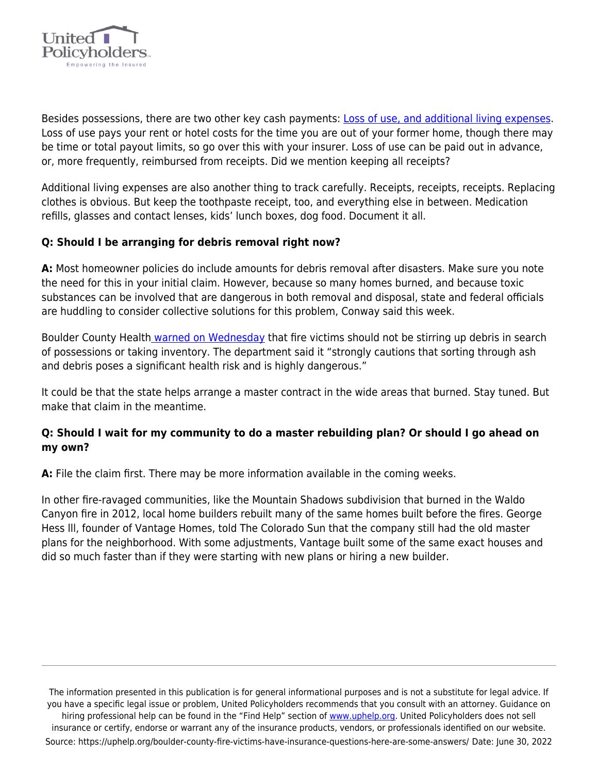

Besides possessions, there are two other key cash payments: [Loss of use, and additional living expenses](https://uphelp.org/wp-content/uploads/2020/09/dec_page_guide.pdf). Loss of use pays your rent or hotel costs for the time you are out of your former home, though there may be time or total payout limits, so go over this with your insurer. Loss of use can be paid out in advance, or, more frequently, reimbursed from receipts. Did we mention keeping all receipts?

Additional living expenses are also another thing to track carefully. Receipts, receipts, receipts. Replacing clothes is obvious. But keep the toothpaste receipt, too, and everything else in between. Medication refills, glasses and contact lenses, kids' lunch boxes, dog food. Document it all.

## **Q: Should I be arranging for debris removal right now?**

**A:** Most homeowner policies do include amounts for debris removal after disasters. Make sure you note the need for this in your initial claim. However, because so many homes burned, and because toxic substances can be involved that are dangerous in both removal and disposal, state and federal officials are huddling to consider collective solutions for this problem, Conway said this week.

Boulder County Health [warned on Wednesday](https://www.bouldercounty.org/safety/fire/safe-cleanup-after-a-fire/) that fire victims should not be stirring up debris in search of possessions or taking inventory. The department said it "strongly cautions that sorting through ash and debris poses a significant health risk and is highly dangerous."

It could be that the state helps arrange a master contract in the wide areas that burned. Stay tuned. But make that claim in the meantime.

## **Q: Should I wait for my community to do a master rebuilding plan? Or should I go ahead on my own?**

**A:** File the claim first. There may be more information available in the coming weeks.

In other fire-ravaged communities, like the Mountain Shadows subdivision that burned in the Waldo Canyon fire in 2012, local home builders rebuilt many of the same homes built before the fires. George Hess lll, founder of Vantage Homes, told The Colorado Sun that the company still had the old master plans for the neighborhood. With some adjustments, Vantage built some of the same exact houses and did so much faster than if they were starting with new plans or hiring a new builder.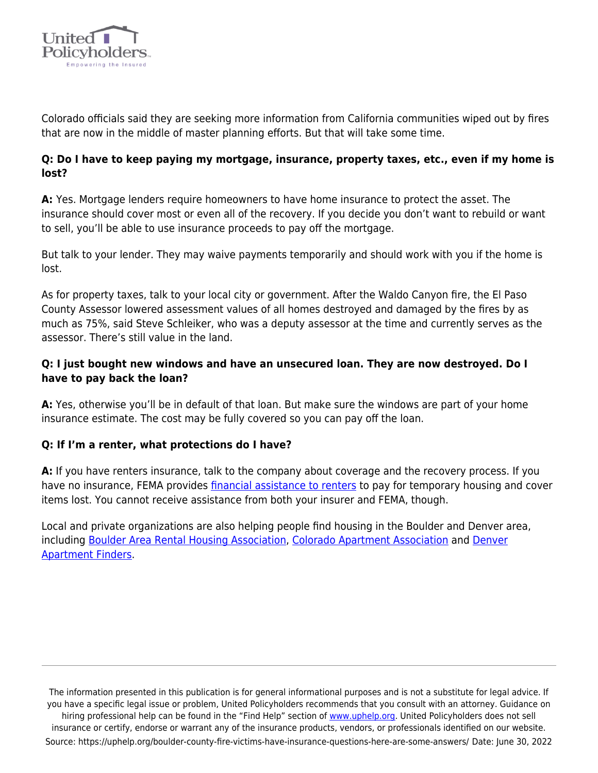

Colorado officials said they are seeking more information from California communities wiped out by fires that are now in the middle of master planning efforts. But that will take some time.

## **Q: Do I have to keep paying my mortgage, insurance, property taxes, etc., even if my home is lost?**

**A:** Yes. Mortgage lenders require homeowners to have home insurance to protect the asset. The insurance should cover most or even all of the recovery. If you decide you don't want to rebuild or want to sell, you'll be able to use insurance proceeds to pay off the mortgage.

But talk to your lender. They may waive payments temporarily and should work with you if the home is lost.

As for property taxes, talk to your local city or government. After the Waldo Canyon fire, the El Paso County Assessor lowered assessment values of all homes destroyed and damaged by the fires by as much as 75%, said Steve Schleiker, who was a deputy assessor at the time and currently serves as the assessor. There's still value in the land.

# **Q: I just bought new windows and have an unsecured loan. They are now destroyed. Do I have to pay back the loan?**

**A:** Yes, otherwise you'll be in default of that loan. But make sure the windows are part of your home insurance estimate. The cost may be fully covered so you can pay off the loan.

## **Q: If I'm a renter, what protections do I have?**

**A:** If you have renters insurance, talk to the company about coverage and the recovery process. If you have no insurance, FEMA provides [financial assistance to renters](https://www.fema.gov/assistance/individual/housing) to pay for temporary housing and cover items lost. You cannot receive assistance from both your insurer and FEMA, though.

Local and private organizations are also helping people find housing in the Boulder and Denver area, including [Boulder Area Rental Housing Association](https://www.barhaonline.org/available-properties-for-displaced-tenants/), [Colorado Apartment Association](https://www.caahq.org/available-apartments-for-displaced-families) and [Denver](https://www.denveraptfinders.com/) [Apartment Finders.](https://www.denveraptfinders.com/)